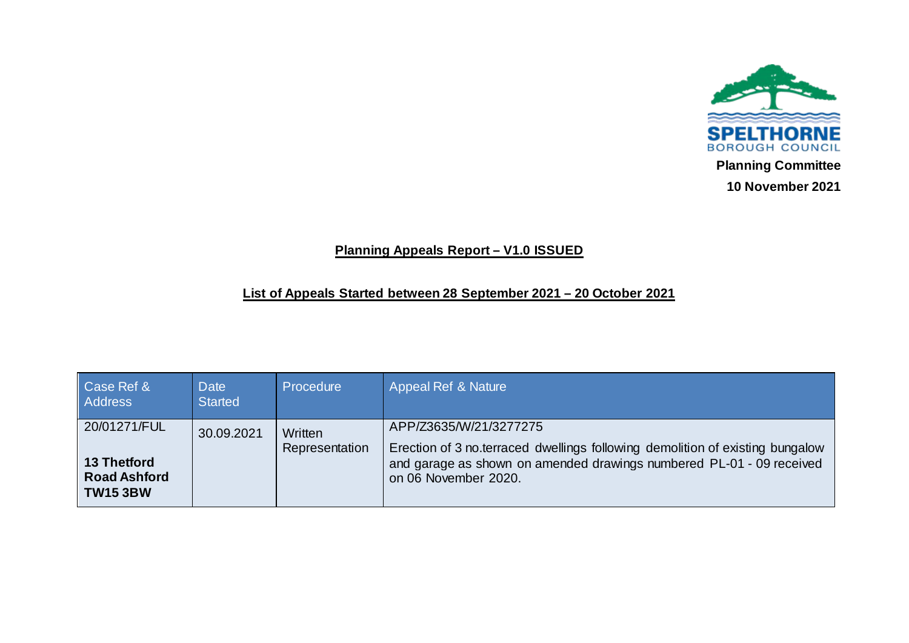

## **Planning Appeals Report – V1.0 ISSUED**

## **List of Appeals Started between 28 September 2021 – 20 October 2021**

| Case Ref &<br><b>Address</b>                                                 | Date<br><b>Started</b> | Procedure                 | Appeal Ref & Nature                                                                                                                                                                                     |
|------------------------------------------------------------------------------|------------------------|---------------------------|---------------------------------------------------------------------------------------------------------------------------------------------------------------------------------------------------------|
| 20/01271/FUL<br><b>13 Thetford</b><br><b>Road Ashford</b><br><b>TW15 3BW</b> | 30.09.2021             | Written<br>Representation | APP/Z3635/W/21/3277275<br>Erection of 3 no terraced dwellings following demolition of existing bungalow<br>and garage as shown on amended drawings numbered PL-01 - 09 received<br>on 06 November 2020. |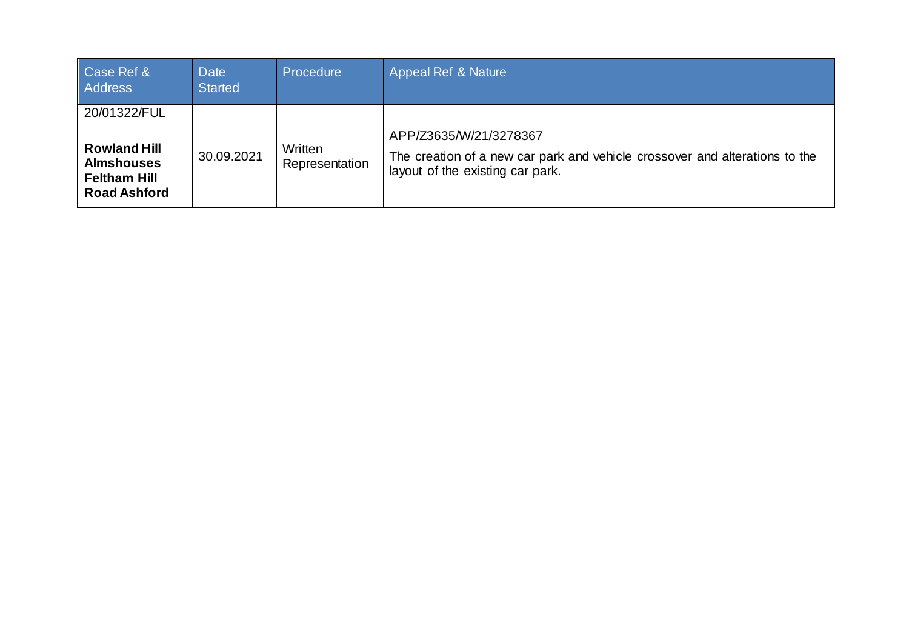| Case Ref &<br><b>Address</b>                                                                           | <b>Date</b><br><b>Started</b> | Procedure                 | Appeal Ref & Nature                                                                                                                       |
|--------------------------------------------------------------------------------------------------------|-------------------------------|---------------------------|-------------------------------------------------------------------------------------------------------------------------------------------|
| 20/01322/FUL<br><b>Rowland Hill</b><br><b>Almshouses</b><br><b>Feltham Hill</b><br><b>Road Ashford</b> | 30.09.2021                    | Written<br>Representation | APP/Z3635/W/21/3278367<br>The creation of a new car park and vehicle crossover and alterations to the<br>layout of the existing car park. |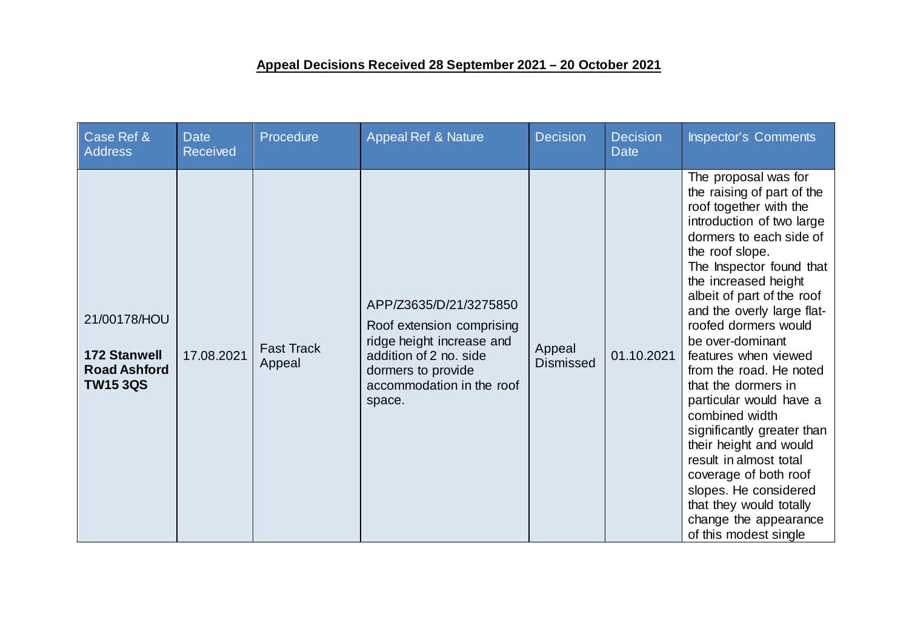## **Appeal Decisions Received 28 September 2021 – 20 October 2021**

| Case Ref &<br><b>Address</b>                                                  | <b>Date</b><br><b>Received</b> | Procedure                   | <b>Appeal Ref &amp; Nature</b>                                                                                                                                          | <b>Decision</b>            | <b>Decision</b><br><b>Date</b> | <b>Inspector's Comments</b>                                                                                                                                                                                                                                                                                                                                                                                                                                                                                                                                                                                                                                 |
|-------------------------------------------------------------------------------|--------------------------------|-----------------------------|-------------------------------------------------------------------------------------------------------------------------------------------------------------------------|----------------------------|--------------------------------|-------------------------------------------------------------------------------------------------------------------------------------------------------------------------------------------------------------------------------------------------------------------------------------------------------------------------------------------------------------------------------------------------------------------------------------------------------------------------------------------------------------------------------------------------------------------------------------------------------------------------------------------------------------|
| 21/00178/HOU<br><b>172 Stanwell</b><br><b>Road Ashford</b><br><b>TW15 3QS</b> | 17.08.2021                     | <b>Fast Track</b><br>Appeal | APP/Z3635/D/21/3275850<br>Roof extension comprising<br>ridge height increase and<br>addition of 2 no. side<br>dormers to provide<br>accommodation in the roof<br>space. | Appeal<br><b>Dismissed</b> | 01.10.2021                     | The proposal was for<br>the raising of part of the<br>roof together with the<br>introduction of two large<br>dormers to each side of<br>the roof slope.<br>The Inspector found that<br>the increased height<br>albeit of part of the roof<br>and the overly large flat-<br>roofed dormers would<br>be over-dominant<br>features when viewed<br>from the road. He noted<br>that the dormers in<br>particular would have a<br>combined width<br>significantly greater than<br>their height and would<br>result in almost total<br>coverage of both roof<br>slopes. He considered<br>that they would totally<br>change the appearance<br>of this modest single |